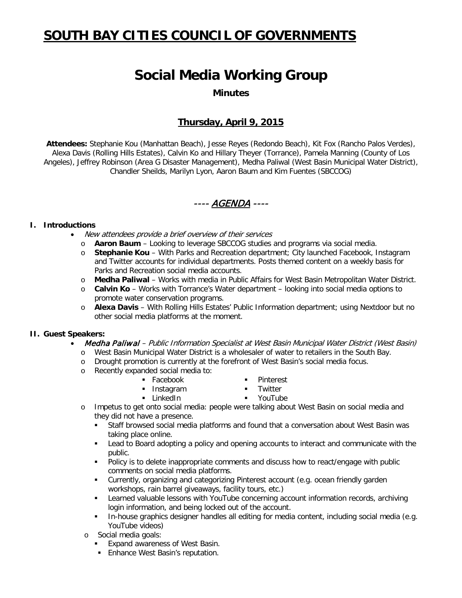# **SOUTH BAY CITIES COUNCIL OF GOVERNMENTS**

## **Social Media Working Group**

**Minutes**

## **Thursday, April 9, 2015**

**Attendees:** Stephanie Kou (Manhattan Beach), Jesse Reyes (Redondo Beach), Kit Fox (Rancho Palos Verdes), Alexa Davis (Rolling Hills Estates), Calvin Ko and Hillary Theyer (Torrance), Pamela Manning (County of Los Angeles), Jeffrey Robinson (Area G Disaster Management), Medha Paliwal (West Basin Municipal Water District), Chandler Sheilds, Marilyn Lyon, Aaron Baum and Kim Fuentes (SBCCOG)

---- AGENDA ----

#### **I. Introductions**

- New attendees provide a brief overview of their services
	- o **Aaron Baum** Looking to leverage SBCCOG studies and programs via social media.
	- o **Stephanie Kou** With Parks and Recreation department; City launched Facebook, Instagram and Twitter accounts for individual departments. Posts themed content on a weekly basis for Parks and Recreation social media accounts.
	- o **Medha Paliwal** Works with media in Public Affairs for West Basin Metropolitan Water District.
	- o **Calvin Ko** Works with Torrance's Water department looking into social media options to promote water conservation programs.
	- o **Alexa Davis** With Rolling Hills Estates' Public Information department; using Nextdoor but no other social media platforms at the moment.

#### **II. Guest Speakers:**

- Medha Paliwal Public Information Specialist at West Basin Municipal Water District (West Basin)
	- o West Basin Municipal Water District is a wholesaler of water to retailers in the South Bay.
	- o Drought promotion is currently at the forefront of West Basin's social media focus.
	- o Recently expanded social media to:
		- Facebook
- **Pinterest**
- **Instagram**
- **Twitter**
- **E** LinkedIn
- YouTube
- o Impetus to get onto social media: people were talking about West Basin on social media and they did not have a presence.
	- Staff browsed social media platforms and found that a conversation about West Basin was taking place online.
	- Lead to Board adopting a policy and opening accounts to interact and communicate with the public.
	- Policy is to delete inappropriate comments and discuss how to react/engage with public comments on social media platforms.
	- Currently, organizing and categorizing Pinterest account (e.g. ocean friendly garden workshops, rain barrel giveaways, facility tours, etc.)
	- **EXECTED Learned valuable lessons with YouTube concerning account information records, archiving** login information, and being locked out of the account.
	- In-house graphics designer handles all editing for media content, including social media (e.g. YouTube videos)
- o Social media goals:
	- **Expand awareness of West Basin.**
	- **Enhance West Basin's reputation.**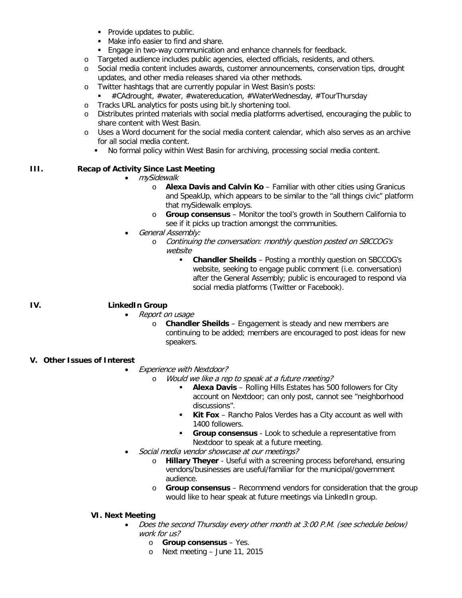- **Provide updates to public.**
- Make info easier to find and share.
- **Engage in two-way communication and enhance channels for feedback.**
- o Targeted audience includes public agencies, elected officials, residents, and others.
- o Social media content includes awards, customer announcements, conservation tips, drought updates, and other media releases shared via other methods.
- o Twitter hashtags that are currently popular in West Basin's posts:
	- #CAdrought, #water, #watereducation, #WaterWednesday, #TourThursday
- o Tracks URL analytics for posts using bit.ly shortening tool.<br>
o Distributes printed materials with social media platforms a
- Distributes printed materials with social media platforms advertised, encouraging the public to share content with West Basin.
- o Uses a Word document for the social media content calendar, which also serves as an archive for all social media content.
	- No formal policy within West Basin for archiving, processing social media content.

#### **III. Recap of Activity Since Last Meeting**

- mySidewalk
	- o **Alexa Davis and Calvin Ko** Familiar with other cities using Granicus and SpeakUp, which appears to be similar to the "all things civic" platform that mySidewalk employs.
	- o **Group consensus** Monitor the tool's growth in Southern California to see if it picks up traction amongst the communities.
- General Assembly:
	- o Continuing the conversation: monthly question posted on SBCCOG's website
		- **Chandler Sheilds** Posting a monthly question on SBCCOG's website, seeking to engage public comment (i.e. conversation) after the General Assembly; public is encouraged to respond via social media platforms (Twitter or Facebook).

### **IV. LinkedIn Group**

- Report on usage
	- o **Chandler Sheilds** Engagement is steady and new members are continuing to be added; members are encouraged to post ideas for new speakers.

#### **V. Other Issues of Interest**

- Experience with Nextdoor?
	- o Would we like a rep to speak at a future meeting?
		- **Alexa Davis** Rolling Hills Estates has 500 followers for City account on Nextdoor; can only post, cannot see "neighborhood discussions".
		- **Kit Fox** Rancho Palos Verdes has a City account as well with 1400 followers.
		- **Group consensus** Look to schedule a representative from Nextdoor to speak at a future meeting.
- Social media vendor showcase at our meetings?
	- o **Hillary Theyer** Useful with a screening process beforehand, ensuring vendors/businesses are useful/familiar for the municipal/government audience.
	- o **Group consensus** Recommend vendors for consideration that the group would like to hear speak at future meetings via LinkedIn group.

#### **VI. Next Meeting**

- Does the second Thursday every other month at 3:00 P.M. (see schedule below) work for us?
	- o **Group consensus** Yes.
	- o Next meeting June 11, 2015